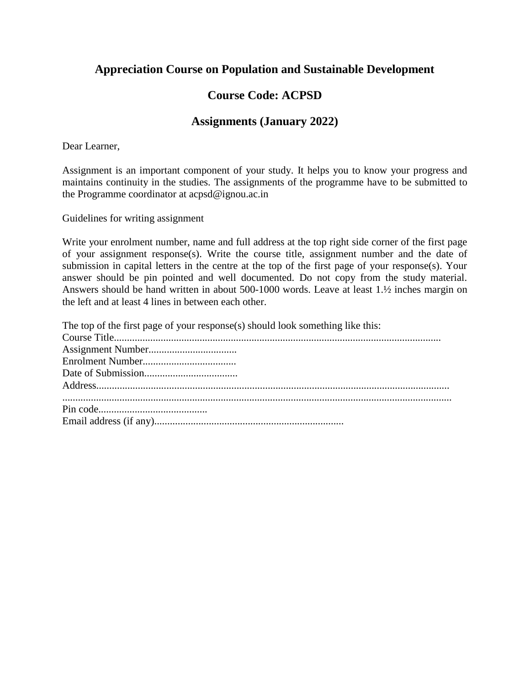## **Appreciation Course on Population and Sustainable Development**

## **Course Code: ACPSD**

## **Assignments (January 2022)**

Dear Learner,

Assignment is an important component of your study. It helps you to know your progress and maintains continuity in the studies. The assignments of the programme have to be submitted to the Programme coordinator at acpsd@ignou.ac.in

Guidelines for writing assignment

Write your enrolment number, name and full address at the top right side corner of the first page of your assignment response(s). Write the course title, assignment number and the date of submission in capital letters in the centre at the top of the first page of your response(s). Your answer should be pin pointed and well documented. Do not copy from the study material. Answers should be hand written in about 500-1000 words. Leave at least 1.½ inches margin on the left and at least 4 lines in between each other.

| The top of the first page of your response(s) should look something like this: |
|--------------------------------------------------------------------------------|
|                                                                                |
|                                                                                |
|                                                                                |
|                                                                                |
|                                                                                |
|                                                                                |
|                                                                                |
|                                                                                |